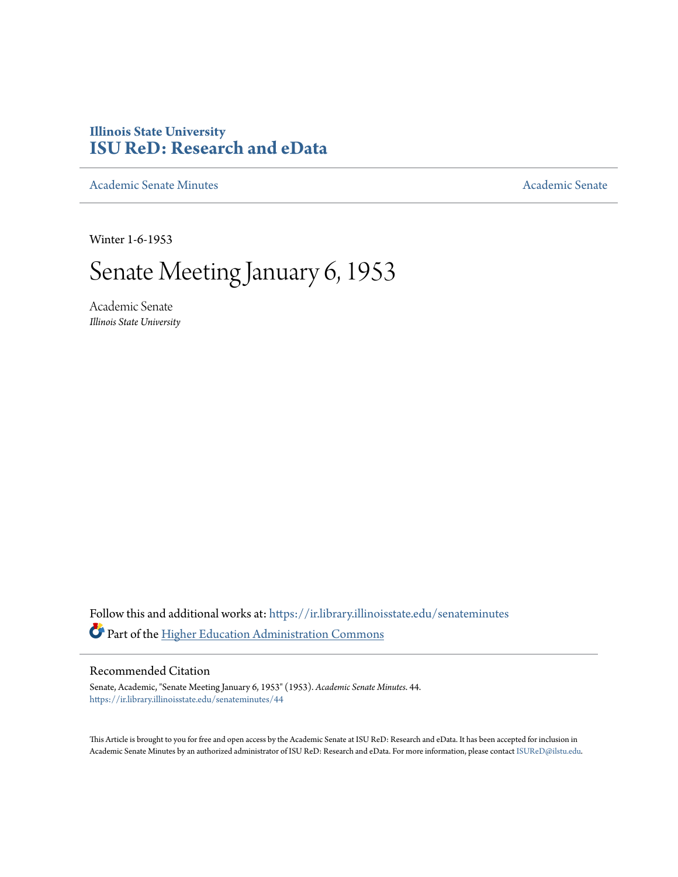## **Illinois State University [ISU ReD: Research and eData](https://ir.library.illinoisstate.edu?utm_source=ir.library.illinoisstate.edu%2Fsenateminutes%2F44&utm_medium=PDF&utm_campaign=PDFCoverPages)**

[Academic Senate Minutes](https://ir.library.illinoisstate.edu/senateminutes?utm_source=ir.library.illinoisstate.edu%2Fsenateminutes%2F44&utm_medium=PDF&utm_campaign=PDFCoverPages) [Academic Senate](https://ir.library.illinoisstate.edu/senate?utm_source=ir.library.illinoisstate.edu%2Fsenateminutes%2F44&utm_medium=PDF&utm_campaign=PDFCoverPages) Academic Senate

Winter 1-6-1953

## Senate Meeting January 6, 1953

Academic Senate *Illinois State University*

Follow this and additional works at: [https://ir.library.illinoisstate.edu/senateminutes](https://ir.library.illinoisstate.edu/senateminutes?utm_source=ir.library.illinoisstate.edu%2Fsenateminutes%2F44&utm_medium=PDF&utm_campaign=PDFCoverPages) Part of the [Higher Education Administration Commons](http://network.bepress.com/hgg/discipline/791?utm_source=ir.library.illinoisstate.edu%2Fsenateminutes%2F44&utm_medium=PDF&utm_campaign=PDFCoverPages)

## Recommended Citation

Senate, Academic, "Senate Meeting January 6, 1953" (1953). *Academic Senate Minutes*. 44. [https://ir.library.illinoisstate.edu/senateminutes/44](https://ir.library.illinoisstate.edu/senateminutes/44?utm_source=ir.library.illinoisstate.edu%2Fsenateminutes%2F44&utm_medium=PDF&utm_campaign=PDFCoverPages)

This Article is brought to you for free and open access by the Academic Senate at ISU ReD: Research and eData. It has been accepted for inclusion in Academic Senate Minutes by an authorized administrator of ISU ReD: Research and eData. For more information, please contact [ISUReD@ilstu.edu.](mailto:ISUReD@ilstu.edu)